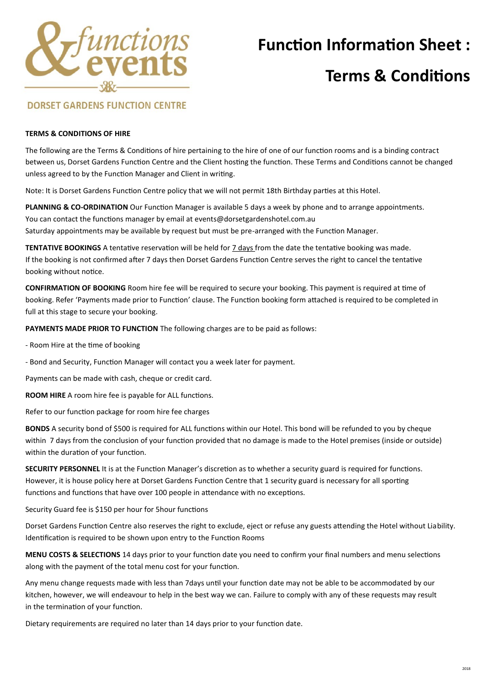

## **Function Information Sheet :**

## **Terms & Conditions**

### **DORSET GARDENS FUNCTION CENTRE**

#### **TERMS & CONDITIONS OF HIRE**

The following are the Terms & Conditions of hire pertaining to the hire of one of our function rooms and is a binding contract between us, Dorset Gardens Function Centre and the Client hosting the function. These Terms and Conditions cannot be changed unless agreed to by the Function Manager and Client in writing.

Note: It is Dorset Gardens Function Centre policy that we will not permit 18th Birthday parties at this Hotel.

**PLANNING & CO-ORDINATION** Our Function Manager is available 5 days a week by phone and to arrange appointments. You can contact the functions manager by email at events@dorsetgardenshotel.com.au Saturday appointments may be available by request but must be pre-arranged with the Function Manager.

**TENTATIVE BOOKINGS** A tentative reservation will be held for 7 days from the date the tentative booking was made. If the booking is not confirmed after 7 days then Dorset Gardens Function Centre serves the right to cancel the tentative booking without notice.

**CONFIRMATION OF BOOKING** Room hire fee will be required to secure your booking. This payment is required at time of booking. Refer 'Payments made prior to Function' clause. The Function booking form attached is required to be completed in full at this stage to secure your booking.

**PAYMENTS MADE PRIOR TO FUNCTION** The following charges are to be paid as follows:

- Room Hire at the time of booking
- Bond and Security, Function Manager will contact you a week later for payment.

Payments can be made with cash, cheque or credit card.

**ROOM HIRE** A room hire fee is payable for ALL functions.

Refer to our function package for room hire fee charges

**BONDS** A security bond of \$500 is required for ALL functions within our Hotel. This bond will be refunded to you by cheque within 7 days from the conclusion of your function provided that no damage is made to the Hotel premises (inside or outside) within the duration of your function.

**SECURITY PERSONNEL** It is at the Function Manager's discretion as to whether a security guard is required for functions. However, it is house policy here at Dorset Gardens Function Centre that 1 security guard is necessary for all sporting functions and functions that have over 100 people in attendance with no exceptions.

Security Guard fee is \$150 per hour for 5hour functions

Dorset Gardens Function Centre also reserves the right to exclude, eject or refuse any guests attending the Hotel without Liability. Identification is required to be shown upon entry to the Function Rooms

**MENU COSTS & SELECTIONS** 14 days prior to your function date you need to confirm your final numbers and menu selections along with the payment of the total menu cost for your function.

Any menu change requests made with less than 7days until your function date may not be able to be accommodated by our kitchen, however, we will endeavour to help in the best way we can. Failure to comply with any of these requests may result in the termination of your function.

Dietary requirements are required no later than 14 days prior to your function date.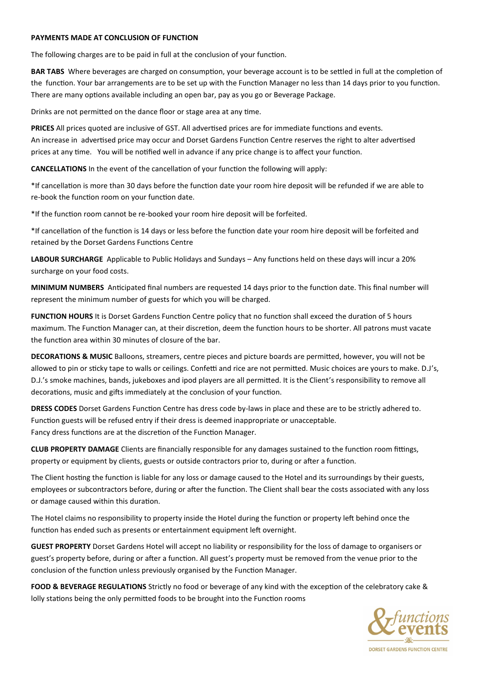#### **PAYMENTS MADE AT CONCLUSION OF FUNCTION**

The following charges are to be paid in full at the conclusion of your function.

**BAR TABS** Where beverages are charged on consumption, your beverage account is to be settled in full at the completion of the function. Your bar arrangements are to be set up with the Function Manager no less than 14 days prior to you function. There are many options available including an open bar, pay as you go or Beverage Package.

Drinks are not permitted on the dance floor or stage area at any time.

**PRICES** All prices quoted are inclusive of GST. All advertised prices are for immediate functions and events. An increase in advertised price may occur and Dorset Gardens Function Centre reserves the right to alter advertised prices at any time. You will be notified well in advance if any price change is to affect your function.

**CANCELLATIONS** In the event of the cancellation of your function the following will apply:

\*If cancellation is more than 30 days before the function date your room hire deposit will be refunded if we are able to re-book the function room on your function date.

\*If the function room cannot be re-booked your room hire deposit will be forfeited.

\*If cancellation of the function is 14 days or less before the function date your room hire deposit will be forfeited and retained by the Dorset Gardens Functions Centre

**LABOUR SURCHARGE** Applicable to Public Holidays and Sundays – Any functions held on these days will incur a 20% surcharge on your food costs.

**MINIMUM NUMBERS** Anticipated final numbers are requested 14 days prior to the function date. This final number will represent the minimum number of guests for which you will be charged.

**FUNCTION HOURS** It is Dorset Gardens Function Centre policy that no function shall exceed the duration of 5 hours maximum. The Function Manager can, at their discretion, deem the function hours to be shorter. All patrons must vacate the function area within 30 minutes of closure of the bar.

**DECORATIONS & MUSIC** Balloons, streamers, centre pieces and picture boards are permitted, however, you will not be allowed to pin or sticky tape to walls or ceilings. Confetti and rice are not permitted. Music choices are yours to make. D.J's, D.J.'s smoke machines, bands, jukeboxes and ipod players are all permitted. It is the Client's responsibility to remove all decorations, music and gifts immediately at the conclusion of your function.

**DRESS CODES** Dorset Gardens Function Centre has dress code by-laws in place and these are to be strictly adhered to. Function guests will be refused entry if their dress is deemed inappropriate or unacceptable. Fancy dress functions are at the discretion of the Function Manager.

**CLUB PROPERTY DAMAGE** Clients are financially responsible for any damages sustained to the function room fittings, property or equipment by clients, guests or outside contractors prior to, during or after a function.

The Client hosting the function is liable for any loss or damage caused to the Hotel and its surroundings by their guests, employees or subcontractors before, during or after the function. The Client shall bear the costs associated with any loss or damage caused within this duration.

The Hotel claims no responsibility to property inside the Hotel during the function or property left behind once the function has ended such as presents or entertainment equipment left overnight.

**GUEST PROPERTY** Dorset Gardens Hotel will accept no liability or responsibility for the loss of damage to organisers or guest's property before, during or after a function. All guest's property must be removed from the venue prior to the conclusion of the function unless previously organised by the Function Manager.

**FOOD & BEVERAGE REGULATIONS** Strictly no food or beverage of any kind with the exception of the celebratory cake & lolly stations being the only permitted foods to be brought into the Function rooms

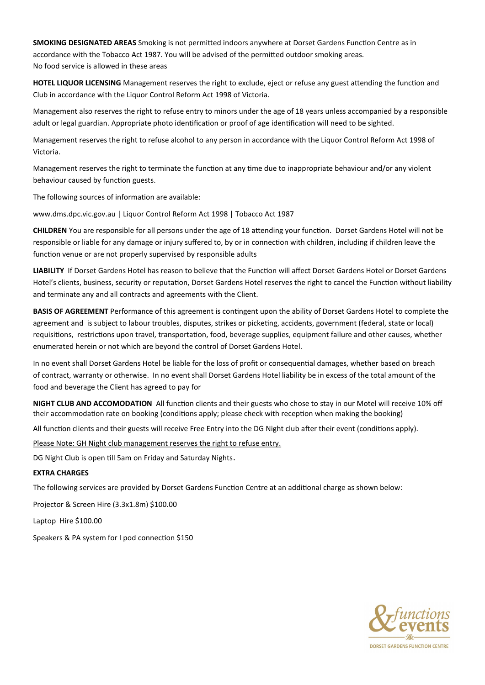**SMOKING DESIGNATED AREAS** Smoking is not permitted indoors anywhere at Dorset Gardens Function Centre as in accordance with the Tobacco Act 1987. You will be advised of the permitted outdoor smoking areas. No food service is allowed in these areas

**HOTEL LIQUOR LICENSING** Management reserves the right to exclude, eject or refuse any guest attending the function and Club in accordance with the Liquor Control Reform Act 1998 of Victoria.

Management also reserves the right to refuse entry to minors under the age of 18 years unless accompanied by a responsible adult or legal guardian. Appropriate photo identification or proof of age identification will need to be sighted.

Management reserves the right to refuse alcohol to any person in accordance with the Liquor Control Reform Act 1998 of Victoria.

Management reserves the right to terminate the function at any time due to inappropriate behaviour and/or any violent behaviour caused by function guests.

The following sources of information are available:

www.dms.dpc.vic.gov.au | Liquor Control Reform Act 1998 | Tobacco Act 1987

**CHILDREN** You are responsible for all persons under the age of 18 attending your function. Dorset Gardens Hotel will not be responsible or liable for any damage or injury suffered to, by or in connection with children, including if children leave the function venue or are not properly supervised by responsible adults

**LIABILITY** If Dorset Gardens Hotel has reason to believe that the Function will affect Dorset Gardens Hotel or Dorset Gardens Hotel's clients, business, security or reputation, Dorset Gardens Hotel reserves the right to cancel the Function without liability and terminate any and all contracts and agreements with the Client.

**BASIS OF AGREEMENT** Performance of this agreement is contingent upon the ability of Dorset Gardens Hotel to complete the agreement and is subject to labour troubles, disputes, strikes or picketing, accidents, government (federal, state or local) requisitions, restrictions upon travel, transportation, food, beverage supplies, equipment failure and other causes, whether enumerated herein or not which are beyond the control of Dorset Gardens Hotel.

In no event shall Dorset Gardens Hotel be liable for the loss of profit or consequential damages, whether based on breach of contract, warranty or otherwise. In no event shall Dorset Gardens Hotel liability be in excess of the total amount of the food and beverage the Client has agreed to pay for

**NIGHT CLUB AND ACCOMODATION** All function clients and their guests who chose to stay in our Motel will receive 10% off their accommodation rate on booking (conditions apply; please check with reception when making the booking)

All function clients and their guests will receive Free Entry into the DG Night club after their event (conditions apply).

Please Note: GH Night club management reserves the right to refuse entry.

DG Night Club is open till 5am on Friday and Saturday Nights.

#### **EXTRA CHARGES**

The following services are provided by Dorset Gardens Function Centre at an additional charge as shown below:

Projector & Screen Hire (3.3x1.8m) \$100.00

Laptop Hire \$100.00

Speakers & PA system for I pod connection \$150